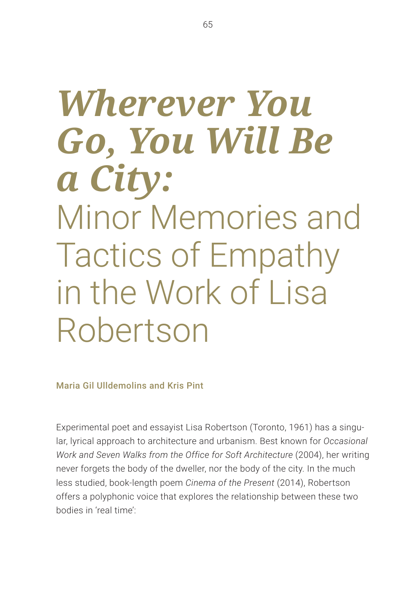# *Wherever You Go, You Will Be a City:*  Minor Memories and Tactics of Empathy in the Work of Lisa Robertson

Maria Gil Ulldemolins and Kris Pint

Experimental poet and essayist Lisa Robertson (Toronto, 1961) has a singular, lyrical approach to architecture and urbanism. Best known for *Occasional Work and Seven Walks from the Office for Soft Architecture* (2004), her writing never forgets the body of the dweller, nor the body of the city. In the much less studied, book-length poem *Cinema of the Present* (2014), Robertson offers a polyphonic voice that explores the relationship between these two bodies in 'real time':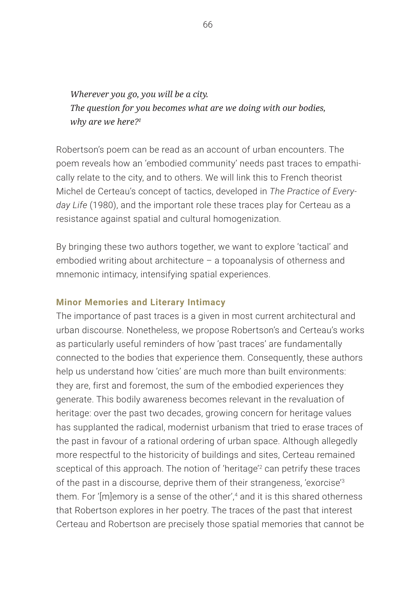*Wherever you go, you will be a city. The question for you becomes what are we doing with our bodies, why are we here?1*

Robertson's poem can be read as an account of urban encounters. The poem reveals how an 'embodied community' needs past traces to empathically relate to the city, and to others. We will link this to French theorist Michel de Certeau's concept of tactics, developed in *The Practice of Everyday Life* (1980), and the important role these traces play for Certeau as a resistance against spatial and cultural homogenization.

By bringing these two authors together, we want to explore 'tactical' and embodied writing about architecture – a topoanalysis of otherness and mnemonic intimacy, intensifying spatial experiences.

### **Minor Memories and Literary Intimacy**

The importance of past traces is a given in most current architectural and urban discourse. Nonetheless, we propose Robertson's and Certeau's works as particularly useful reminders of how 'past traces' are fundamentally connected to the bodies that experience them. Consequently, these authors help us understand how 'cities' are much more than built environments: they are, first and foremost, the sum of the embodied experiences they generate. This bodily awareness becomes relevant in the revaluation of heritage: over the past two decades, growing concern for heritage values has supplanted the radical, modernist urbanism that tried to erase traces of the past in favour of a rational ordering of urban space. Although allegedly more respectful to the historicity of buildings and sites, Certeau remained sceptical of this approach. The notion of 'heritage'<sup>2</sup> can petrify these traces of the past in a discourse, deprive them of their strangeness, 'exorcise'3 them. For 'Imlemory is a sense of the other',<sup>4</sup> and it is this shared otherness that Robertson explores in her poetry. The traces of the past that interest Certeau and Robertson are precisely those spatial memories that cannot be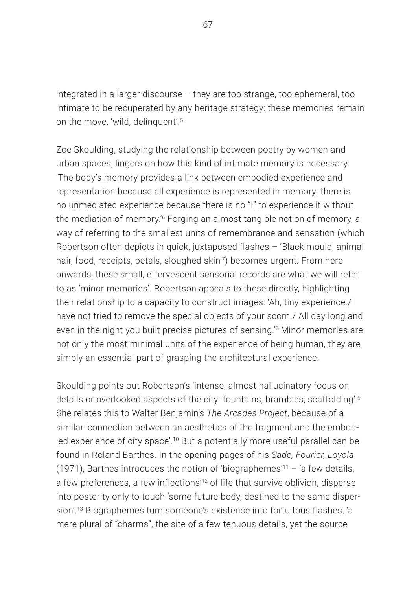integrated in a larger discourse – they are too strange, too ephemeral, too intimate to be recuperated by any heritage strategy: these memories remain on the move, 'wild, delinquent'.<sup>5</sup>

Zoe Skoulding, studying the relationship between poetry by women and urban spaces, lingers on how this kind of intimate memory is necessary: 'The body's memory provides a link between embodied experience and representation because all experience is represented in memory; there is no unmediated experience because there is no "I" to experience it without the mediation of memory.'6 Forging an almost tangible notion of memory, a way of referring to the smallest units of remembrance and sensation (which Robertson often depicts in quick, juxtaposed flashes – 'Black mould, animal hair, food, receipts, petals, sloughed skin<sup>'7</sup>) becomes urgent. From here onwards, these small, effervescent sensorial records are what we will refer to as 'minor memories'. Robertson appeals to these directly, highlighting their relationship to a capacity to construct images: 'Ah, tiny experience./ I have not tried to remove the special objects of your scorn./ All day long and even in the night you built precise pictures of sensing.<sup>'8</sup> Minor memories are not only the most minimal units of the experience of being human, they are simply an essential part of grasping the architectural experience.

Skoulding points out Robertson's 'intense, almost hallucinatory focus on details or overlooked aspects of the city: fountains, brambles, scaffolding'.9 She relates this to Walter Benjamin's *The Arcades Project*, because of a similar 'connection between an aesthetics of the fragment and the embodied experience of city space'.10 But a potentially more useful parallel can be found in Roland Barthes. In the opening pages of his *Sade, Fourier, Loyola* (1971), Barthes introduces the notion of 'biographemes'<sup>11</sup> – 'a few details, a few preferences, a few inflections'12 of life that survive oblivion, disperse into posterity only to touch 'some future body, destined to the same dispersion'.13 Biographemes turn someone's existence into fortuitous flashes, 'a mere plural of "charms", the site of a few tenuous details, yet the source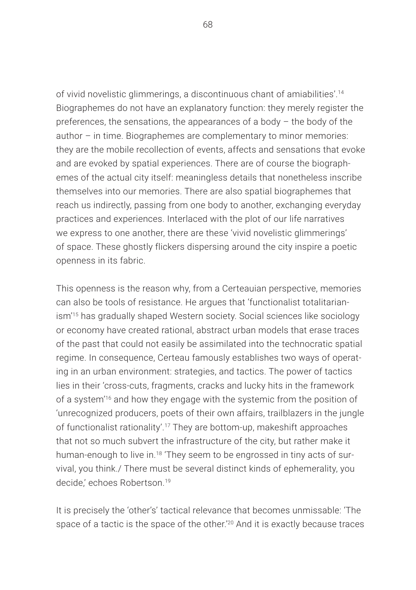of vivid novelistic glimmerings, a discontinuous chant of amiabilities'.14 Biographemes do not have an explanatory function: they merely register the preferences, the sensations, the appearances of a body – the body of the author – in time. Biographemes are complementary to minor memories: they are the mobile recollection of events, affects and sensations that evoke and are evoked by spatial experiences. There are of course the biographemes of the actual city itself: meaningless details that nonetheless inscribe themselves into our memories. There are also spatial biographemes that reach us indirectly, passing from one body to another, exchanging everyday practices and experiences. Interlaced with the plot of our life narratives we express to one another, there are these 'vivid novelistic glimmerings' of space. These ghostly flickers dispersing around the city inspire a poetic openness in its fabric.

This openness is the reason why, from a Certeauian perspective, memories can also be tools of resistance. He argues that 'functionalist totalitarianism'15 has gradually shaped Western society. Social sciences like sociology or economy have created rational, abstract urban models that erase traces of the past that could not easily be assimilated into the technocratic spatial regime. In consequence, Certeau famously establishes two ways of operating in an urban environment: strategies, and tactics. The power of tactics lies in their 'cross-cuts, fragments, cracks and lucky hits in the framework of a system'16 and how they engage with the systemic from the position of 'unrecognized producers, poets of their own affairs, trailblazers in the jungle of functionalist rationality'.17 They are bottom-up, makeshift approaches that not so much subvert the infrastructure of the city, but rather make it human-enough to live in.<sup>18</sup> 'They seem to be engrossed in tiny acts of survival, you think./ There must be several distinct kinds of ephemerality, you decide,' echoes Robertson.19

It is precisely the 'other's' tactical relevance that becomes unmissable: 'The space of a tactic is the space of the other.'20 And it is exactly because traces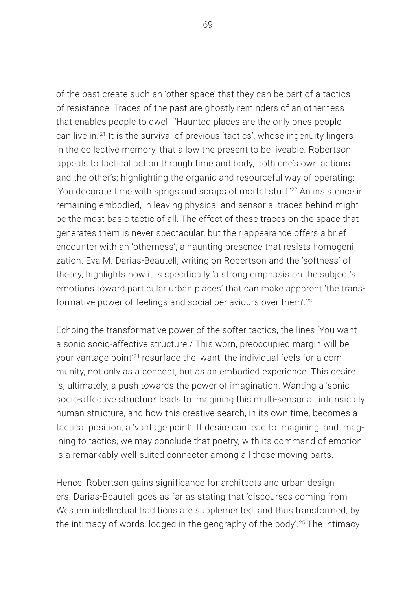of the past create such an 'other space' that they can be part of a tactics of resistance. Traces of the past are ghostly reminders of an otherness that enables people to dwell: 'Haunted places are the only ones people can live in.'21 It is the survival of previous 'tactics', whose ingenuity lingers in the collective memory, that allow the present to be liveable. Robertson appeals to tactical action through time and body, both one's own actions and the other's; highlighting the organic and resourceful way of operating: 'You decorate time with sprigs and scraps of mortal stuff.'22 An insistence in remaining embodied, in leaving physical and sensorial traces behind might be the most basic tactic of all. The effect of these traces on the space that generates them is never spectacular, but their appearance offers a brief encounter with an 'otherness', a haunting presence that resists homogenization. Eva M. Darias-Beautell, writing on Robertson and the 'softness' of theory, highlights how it is specifically 'a strong emphasis on the subject's emotions toward particular urban places' that can make apparent 'the transformative power of feelings and social behaviours over them'.23

Echoing the transformative power of the softer tactics, the lines 'You want a sonic socio-affective structure./ This worn, preoccupied margin will be your vantage point'24 resurface the 'want' the individual feels for a community, not only as a concept, but as an embodied experience. This desire is, ultimately, a push towards the power of imagination. Wanting a 'sonic socio-affective structure' leads to imagining this multi-sensorial, intrinsically human structure, and how this creative search, in its own time, becomes a tactical position, a 'vantage point'. If desire can lead to imagining, and imagining to tactics, we may conclude that poetry, with its command of emotion, is a remarkably well-suited connector among all these moving parts.

Hence, Robertson gains significance for architects and urban designers. Darias-Beautell goes as far as stating that 'discourses coming from Western intellectual traditions are supplemented, and thus transformed, by the intimacy of words, lodged in the geography of the body'.<sup>25</sup> The intimacy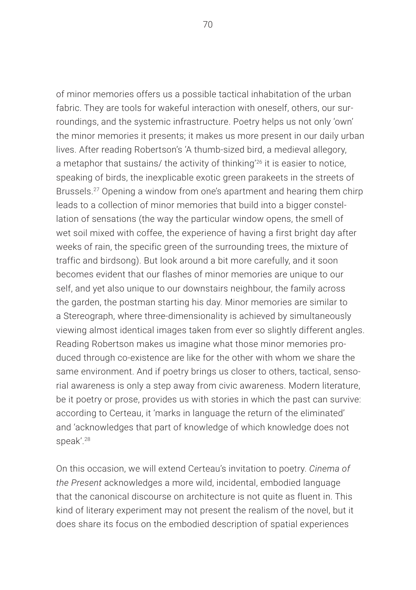of minor memories offers us a possible tactical inhabitation of the urban fabric. They are tools for wakeful interaction with oneself, others, our surroundings, and the systemic infrastructure. Poetry helps us not only 'own' the minor memories it presents; it makes us more present in our daily urban lives. After reading Robertson's 'A thumb-sized bird, a medieval allegory, a metaphor that sustains/ the activity of thinking'26 it is easier to notice, speaking of birds, the inexplicable exotic green parakeets in the streets of Brussels.27 Opening a window from one's apartment and hearing them chirp leads to a collection of minor memories that build into a bigger constellation of sensations (the way the particular window opens, the smell of wet soil mixed with coffee, the experience of having a first bright day after weeks of rain, the specific green of the surrounding trees, the mixture of traffic and birdsong). But look around a bit more carefully, and it soon becomes evident that our flashes of minor memories are unique to our self, and yet also unique to our downstairs neighbour, the family across the garden, the postman starting his day. Minor memories are similar to a Stereograph, where three-dimensionality is achieved by simultaneously viewing almost identical images taken from ever so slightly different angles. Reading Robertson makes us imagine what those minor memories produced through co-existence are like for the other with whom we share the same environment. And if poetry brings us closer to others, tactical, sensorial awareness is only a step away from civic awareness. Modern literature, be it poetry or prose, provides us with stories in which the past can survive: according to Certeau, it 'marks in language the return of the eliminated' and 'acknowledges that part of knowledge of which knowledge does not speak'.28

On this occasion, we will extend Certeau's invitation to poetry. *Cinema of the Present* acknowledges a more wild, incidental, embodied language that the canonical discourse on architecture is not quite as fluent in. This kind of literary experiment may not present the realism of the novel, but it does share its focus on the embodied description of spatial experiences

70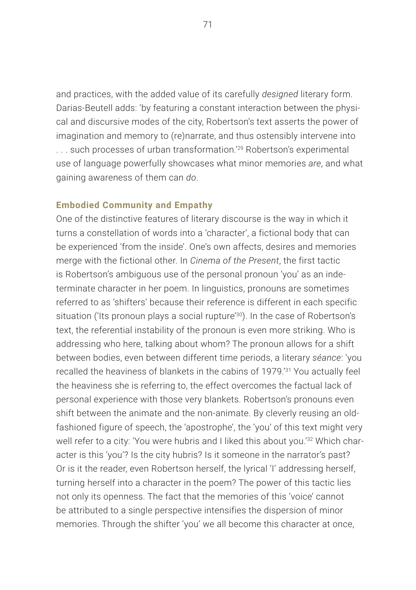and practices, with the added value of its carefully *designed* literary form. Darias-Beutell adds: 'by featuring a constant interaction between the physical and discursive modes of the city, Robertson's text asserts the power of imagination and memory to (re)narrate, and thus ostensibly intervene into . . . such processes of urban transformation.'29 Robertson's experimental use of language powerfully showcases what minor memories *are*, and what gaining awareness of them can *do*.

#### **Embodied Community and Empathy**

One of the distinctive features of literary discourse is the way in which it turns a constellation of words into a 'character', a fictional body that can be experienced 'from the inside'. One's own affects, desires and memories merge with the fictional other. In *Cinema of the Present*, the first tactic is Robertson's ambiguous use of the personal pronoun 'you' as an indeterminate character in her poem. In linguistics, pronouns are sometimes referred to as 'shifters' because their reference is different in each specific situation ('Its pronoun plays a social rupture'<sup>30</sup>). In the case of Robertson's text, the referential instability of the pronoun is even more striking. Who is addressing who here, talking about whom? The pronoun allows for a shift between bodies, even between different time periods, a literary *séance*: 'you recalled the heaviness of blankets in the cabins of 1979.'31 You actually feel the heaviness she is referring to, the effect overcomes the factual lack of personal experience with those very blankets. Robertson's pronouns even shift between the animate and the non-animate. By cleverly reusing an oldfashioned figure of speech, the 'apostrophe', the 'you' of this text might very well refer to a city: 'You were hubris and I liked this about you.'<sup>32</sup> Which character is this 'you'? Is the city hubris? Is it someone in the narrator's past? Or is it the reader, even Robertson herself, the lyrical 'I' addressing herself, turning herself into a character in the poem? The power of this tactic lies not only its openness. The fact that the memories of this 'voice' cannot be attributed to a single perspective intensifies the dispersion of minor memories. Through the shifter 'you' we all become this character at once,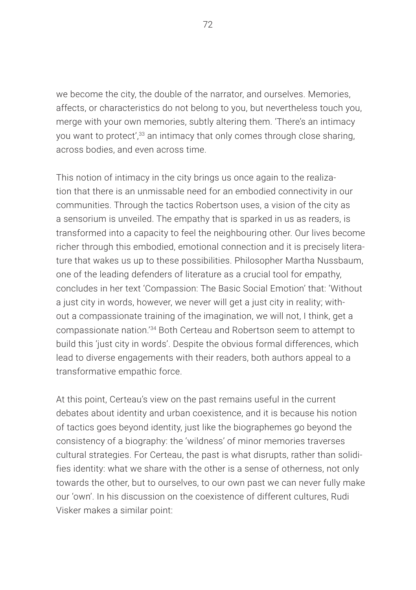we become the city, the double of the narrator, and ourselves. Memories, affects, or characteristics do not belong to you, but nevertheless touch you, merge with your own memories, subtly altering them. 'There's an intimacy you want to protect',<sup>33</sup> an intimacy that only comes through close sharing, across bodies, and even across time.

This notion of intimacy in the city brings us once again to the realization that there is an unmissable need for an embodied connectivity in our communities. Through the tactics Robertson uses, a vision of the city as a sensorium is unveiled. The empathy that is sparked in us as readers, is transformed into a capacity to feel the neighbouring other. Our lives become richer through this embodied, emotional connection and it is precisely literature that wakes us up to these possibilities. Philosopher Martha Nussbaum, one of the leading defenders of literature as a crucial tool for empathy, concludes in her text 'Compassion: The Basic Social Emotion' that: 'Without a just city in words, however, we never will get a just city in reality; without a compassionate training of the imagination, we will not, I think, get a compassionate nation.'34 Both Certeau and Robertson seem to attempt to build this 'just city in words'. Despite the obvious formal differences, which lead to diverse engagements with their readers, both authors appeal to a transformative empathic force.

At this point, Certeau's view on the past remains useful in the current debates about identity and urban coexistence, and it is because his notion of tactics goes beyond identity, just like the biographemes go beyond the consistency of a biography: the 'wildness' of minor memories traverses cultural strategies. For Certeau, the past is what disrupts, rather than solidifies identity: what we share with the other is a sense of otherness, not only towards the other, but to ourselves, to our own past we can never fully make our 'own'. In his discussion on the coexistence of different cultures, Rudi Visker makes a similar point: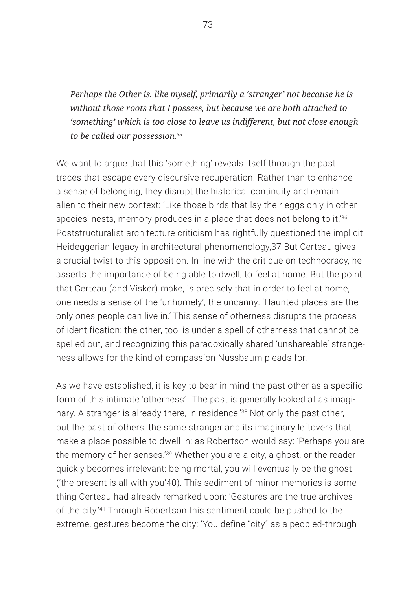*Perhaps the Other is, like myself, primarily a 'stranger' not because he is without those roots that I possess, but because we are both attached to 'something' which is too close to leave us indifferent, but not close enough to be called our possession.35*

We want to argue that this 'something' reveals itself through the past traces that escape every discursive recuperation. Rather than to enhance a sense of belonging, they disrupt the historical continuity and remain alien to their new context: 'Like those birds that lay their eggs only in other species' nests, memory produces in a place that does not belong to it.<sup>'36</sup> Poststructuralist architecture criticism has rightfully questioned the implicit Heideggerian legacy in architectural phenomenology,37 But Certeau gives a crucial twist to this opposition. In line with the critique on technocracy, he asserts the importance of being able to dwell, to feel at home. But the point that Certeau (and Visker) make, is precisely that in order to feel at home, one needs a sense of the 'unhomely', the uncanny: 'Haunted places are the only ones people can live in.' This sense of otherness disrupts the process of identification: the other, too, is under a spell of otherness that cannot be spelled out, and recognizing this paradoxically shared 'unshareable' strangeness allows for the kind of compassion Nussbaum pleads for.

As we have established, it is key to bear in mind the past other as a specific form of this intimate 'otherness': 'The past is generally looked at as imaginary. A stranger is already there, in residence.'38 Not only the past other, but the past of others, the same stranger and its imaginary leftovers that make a place possible to dwell in: as Robertson would say: 'Perhaps you are the memory of her senses.'39 Whether you are a city, a ghost, or the reader quickly becomes irrelevant: being mortal, you will eventually be the ghost ('the present is all with you'40). This sediment of minor memories is something Certeau had already remarked upon: 'Gestures are the true archives of the city.'41 Through Robertson this sentiment could be pushed to the extreme, gestures become the city: 'You define "city" as a peopled-through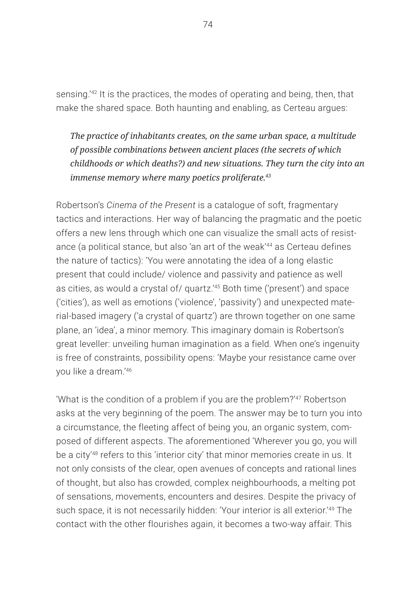sensing.'42 It is the practices, the modes of operating and being, then, that make the shared space. Both haunting and enabling, as Certeau argues:

*The practice of inhabitants creates, on the same urban space, a multitude of possible combinations between ancient places (the secrets of which childhoods or which deaths?) and new situations. They turn the city into an immense memory where many poetics proliferate.43*

Robertson's *Cinema of the Present* is a catalogue of soft, fragmentary tactics and interactions. Her way of balancing the pragmatic and the poetic offers a new lens through which one can visualize the small acts of resistance (a political stance, but also 'an art of the weak'<sup>44</sup> as Certeau defines the nature of tactics): 'You were annotating the idea of a long elastic present that could include/ violence and passivity and patience as well as cities, as would a crystal of/ quartz.'45 Both time ('present') and space ('cities'), as well as emotions ('violence', 'passivity') and unexpected material-based imagery ('a crystal of quartz') are thrown together on one same plane, an 'idea', a minor memory. This imaginary domain is Robertson's great leveller: unveiling human imagination as a field. When one's ingenuity is free of constraints, possibility opens: 'Maybe your resistance came over you like a dream<sup>'46</sup>

'What is the condition of a problem if you are the problem?'<sup>47</sup> Robertson asks at the very beginning of the poem. The answer may be to turn you into a circumstance, the fleeting affect of being you, an organic system, composed of different aspects. The aforementioned 'Wherever you go, you will be a city<sup>'48</sup> refers to this 'interior city' that minor memories create in us. It not only consists of the clear, open avenues of concepts and rational lines of thought, but also has crowded, complex neighbourhoods, a melting pot of sensations, movements, encounters and desires. Despite the privacy of such space, it is not necessarily hidden: 'Your interior is all exterior.'<sup>49</sup> The contact with the other flourishes again, it becomes a two-way affair. This

74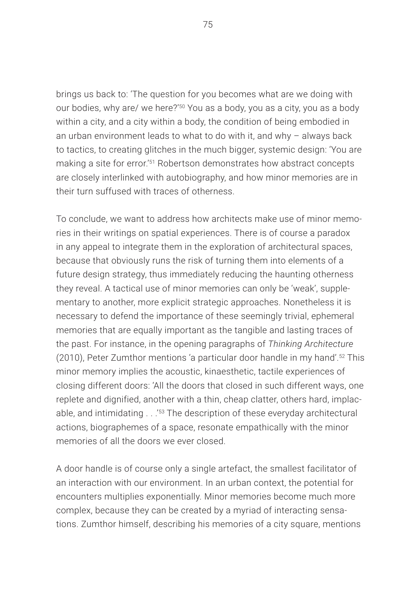brings us back to: 'The question for you becomes what are we doing with our bodies, why are/ we here?'50 You as a body, you as a city, you as a body within a city, and a city within a body, the condition of being embodied in an urban environment leads to what to do with it, and why – always back to tactics, to creating glitches in the much bigger, systemic design: 'You are making a site for error.'51 Robertson demonstrates how abstract concepts are closely interlinked with autobiography, and how minor memories are in their turn suffused with traces of otherness.

To conclude, we want to address how architects make use of minor memories in their writings on spatial experiences. There is of course a paradox in any appeal to integrate them in the exploration of architectural spaces, because that obviously runs the risk of turning them into elements of a future design strategy, thus immediately reducing the haunting otherness they reveal. A tactical use of minor memories can only be 'weak', supplementary to another, more explicit strategic approaches. Nonetheless it is necessary to defend the importance of these seemingly trivial, ephemeral memories that are equally important as the tangible and lasting traces of the past. For instance, in the opening paragraphs of *Thinking Architecture* (2010), Peter Zumthor mentions 'a particular door handle in my hand'.52 This minor memory implies the acoustic, kinaesthetic, tactile experiences of closing different doors: 'All the doors that closed in such different ways, one replete and dignified, another with a thin, cheap clatter, others hard, implacable, and intimidating . . .<sup>'53</sup> The description of these everyday architectural actions, biographemes of a space, resonate empathically with the minor memories of all the doors we ever closed.

A door handle is of course only a single artefact, the smallest facilitator of an interaction with our environment. In an urban context, the potential for encounters multiplies exponentially. Minor memories become much more complex, because they can be created by a myriad of interacting sensations. Zumthor himself, describing his memories of a city square, mentions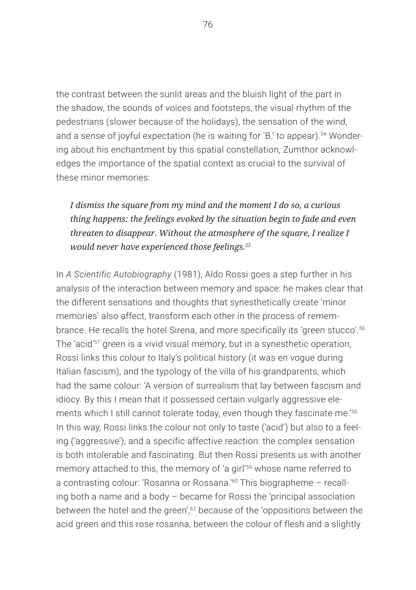the contrast between the sunlit areas and the bluish light of the part in the shadow, the sounds of voices and footsteps, the visual rhythm of the pedestrians (slower because of the holidays), the sensation of the wind, and a sense of joyful expectation (he is waiting for 'B.' to appear).<sup>54</sup> Wondering about his enchantment by this spatial constellation, Zumthor acknowledges the importance of the spatial context as crucial to the survival of these minor memories:

## *I dismiss the square from my mind and the moment I do so, a curious thing happens: the feelings evoked by the situation begin to fade and even threaten to disappear. Without the atmosphere of the square, I realize I would never have experienced those feelings.55*

In *A Scientific Autobiography* (1981), Aldo Rossi goes a step further in his analysis of the interaction between memory and space: he makes clear that the different sensations and thoughts that synesthetically create 'minor memories' also affect, transform each other in the process of remembrance. He recalls the hotel Sirena, and more specifically its 'green stucco'.<sup>56</sup> The 'acid'57 green is a vivid visual memory, but in a synesthetic operation, Rossi links this colour to Italy's political history (it was en vogue during Italian fascism), and the typology of the villa of his grandparents, which had the same colour: 'A version of surrealism that lay between fascism and idiocy. By this I mean that it possessed certain vulgarly aggressive elements which I still cannot tolerate today, even though they fascinate me.<sup>'58</sup> In this way, Rossi links the colour not only to taste ('acid') but also to a feeling ('aggressive'), and a specific affective reaction: the complex sensation is both intolerable and fascinating. But then Rossi presents us with another memory attached to this, the memory of 'a girl'<sup>59</sup> whose name referred to a contrasting colour: 'Rosanna or Rossana.'60 This biographeme – recalling both a name and a body – became for Rossi the 'principal association between the hotel and the green',<sup>61</sup> because of the 'oppositions between the acid green and this rose rosanna, between the colour of flesh and a slightly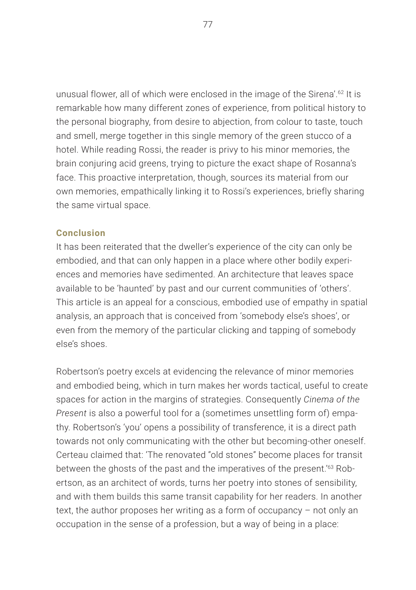unusual flower, all of which were enclosed in the image of the Sirena'.62 It is remarkable how many different zones of experience, from political history to the personal biography, from desire to abjection, from colour to taste, touch and smell, merge together in this single memory of the green stucco of a hotel. While reading Rossi, the reader is privy to his minor memories, the brain conjuring acid greens, trying to picture the exact shape of Rosanna's face. This proactive interpretation, though, sources its material from our own memories, empathically linking it to Rossi's experiences, briefly sharing the same virtual space.

#### **Conclusion**

It has been reiterated that the dweller's experience of the city can only be embodied, and that can only happen in a place where other bodily experiences and memories have sedimented. An architecture that leaves space available to be 'haunted' by past and our current communities of 'others'. This article is an appeal for a conscious, embodied use of empathy in spatial analysis, an approach that is conceived from 'somebody else's shoes', or even from the memory of the particular clicking and tapping of somebody else's shoes.

Robertson's poetry excels at evidencing the relevance of minor memories and embodied being, which in turn makes her words tactical, useful to create spaces for action in the margins of strategies. Consequently *Cinema of the Present* is also a powerful tool for a (sometimes unsettling form of) empathy. Robertson's 'you' opens a possibility of transference, it is a direct path towards not only communicating with the other but becoming-other oneself. Certeau claimed that: 'The renovated "old stones" become places for transit between the ghosts of the past and the imperatives of the present.'63 Robertson, as an architect of words, turns her poetry into stones of sensibility, and with them builds this same transit capability for her readers. In another text, the author proposes her writing as a form of occupancy – not only an occupation in the sense of a profession, but a way of being in a place: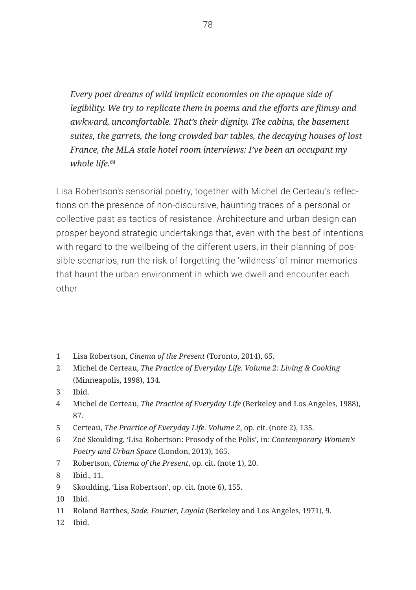*Every poet dreams of wild implicit economies on the opaque side of legibility. We try to replicate them in poems and the efforts are flimsy and awkward, uncomfortable. That's their dignity. The cabins, the basement suites, the garrets, the long crowded bar tables, the decaying houses of lost France, the MLA stale hotel room interviews: I've been an occupant my whole life.64*

Lisa Robertson's sensorial poetry, together with Michel de Certeau's reflections on the presence of non-discursive, haunting traces of a personal or collective past as tactics of resistance. Architecture and urban design can prosper beyond strategic undertakings that, even with the best of intentions with regard to the wellbeing of the different users, in their planning of possible scenarios, run the risk of forgetting the 'wildness' of minor memories that haunt the urban environment in which we dwell and encounter each other.

- 1 Lisa Robertson, *Cinema of the Present* (Toronto, 2014), 65.
- 2 Michel de Certeau, *The Practice of Everyday Life. Volume 2: Living & Cooking*  (Minneapolis, 1998), 134.
- 3 Ibid.
- 4 Michel de Certeau, *The Practice of Everyday Life* (Berkeley and Los Angeles, 1988), 87.
- 5 Certeau, *The Practice of Everyday Life. Volume 2*, op. cit. (note 2), 135.
- 6 Zoë Skoulding, 'Lisa Robertson: Prosody of the Polis', in: *Contemporary Women's Poetry and Urban Space* (London, 2013), 165.
- 7 Robertson, *Cinema of the Present*, op. cit. (note 1), 20.
- 8 Ibid., 11.
- 9 Skoulding, 'Lisa Robertson', op. cit. (note 6), 155.
- 10 Ibid.
- 11 Roland Barthes, *Sade, Fourier, Loyola* (Berkeley and Los Angeles, 1971), 9.
- 12 Ibid.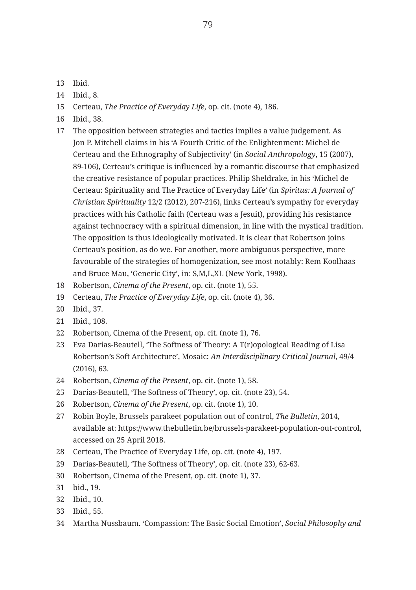- 13 Ibid.
- 14 Ibid., 8.
- 15 Certeau, *The Practice of Everyday Life*, op. cit. (note 4), 186.
- 16 Ibid., 38.
- 17 The opposition between strategies and tactics implies a value judgement. As Jon P. Mitchell claims in his 'A Fourth Critic of the Enlightenment: Michel de Certeau and the Ethnography of Subjectivity' (in *Social Anthropology*, 15 (2007), 89-106), Certeau's critique is influenced by a romantic discourse that emphasized the creative resistance of popular practices. Philip Sheldrake, in his 'Michel de Certeau: Spirituality and The Practice of Everyday Life' (in *Spiritus: A Journal of Christian Spirituality* 12/2 (2012), 207-216), links Certeau's sympathy for everyday practices with his Catholic faith (Certeau was a Jesuit), providing his resistance against technocracy with a spiritual dimension, in line with the mystical tradition. The opposition is thus ideologically motivated. It is clear that Robertson joins Certeau's position, as do we. For another, more ambiguous perspective, more favourable of the strategies of homogenization, see most notably: Rem Koolhaas and Bruce Mau, 'Generic City', in: S,M,L,XL (New York, 1998).
- 18 Robertson, *Cinema of the Present*, op. cit. (note 1), 55.
- 19 Certeau, *The Practice of Everyday Life*, op. cit. (note 4), 36.
- 20 Ibid., 37.
- 21 Ibid., 108.
- 22 Robertson, Cinema of the Present, op. cit. (note 1), 76.
- 23 Eva Darias-Beautell, 'The Softness of Theory: A T(r)opological Reading of Lisa Robertson's Soft Architecture', Mosaic: *An Interdisciplinary Critical Journal*, 49/4 (2016), 63.
- 24 Robertson, *Cinema of the Present*, op. cit. (note 1), 58.
- 25 Darias-Beautell, 'The Softness of Theory', op. cit. (note 23), 54.
- 26 Robertson, *Cinema of the Present*, op. cit. (note 1), 10.
- 27 Robin Boyle, Brussels parakeet population out of control, *The Bulletin*, 2014, available at: https://www.thebulletin.be/brussels-parakeet-population-out-control, accessed on 25 April 2018.
- 28 Certeau, The Practice of Everyday Life, op. cit. (note 4), 197.
- 29 Darias-Beautell, 'The Softness of Theory', op. cit. (note 23), 62-63.
- 30 Robertson, Cinema of the Present, op. cit. (note 1), 37.
- 31 bid., 19.
- 32 Ibid., 10.
- 33 Ibid., 55.
- 34 Martha Nussbaum. 'Compassion: The Basic Social Emotion', *Social Philosophy and*